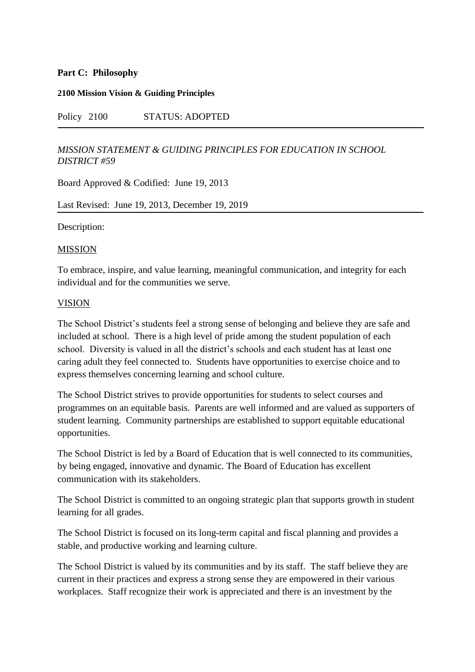# **Part C: Philosophy**

#### **2100 Mission Vision & Guiding Principles**

# Policy 2100 STATUS: ADOPTED

### *MISSION STATEMENT & GUIDING PRINCIPLES FOR EDUCATION IN SCHOOL DISTRICT #59*

Board Approved & Codified: June 19, 2013

#### Last Revised: June 19, 2013, December 19, 2019

Description:

#### MISSION

To embrace, inspire, and value learning, meaningful communication, and integrity for each individual and for the communities we serve.

#### VISION

The School District's students feel a strong sense of belonging and believe they are safe and included at school. There is a high level of pride among the student population of each school. Diversity is valued in all the district's schools and each student has at least one caring adult they feel connected to. Students have opportunities to exercise choice and to express themselves concerning learning and school culture.

The School District strives to provide opportunities for students to select courses and programmes on an equitable basis. Parents are well informed and are valued as supporters of student learning. Community partnerships are established to support equitable educational opportunities.

The School District is led by a Board of Education that is well connected to its communities, by being engaged, innovative and dynamic. The Board of Education has excellent communication with its stakeholders.

The School District is committed to an ongoing strategic plan that supports growth in student learning for all grades.

The School District is focused on its long-term capital and fiscal planning and provides a stable, and productive working and learning culture.

The School District is valued by its communities and by its staff. The staff believe they are current in their practices and express a strong sense they are empowered in their various workplaces. Staff recognize their work is appreciated and there is an investment by the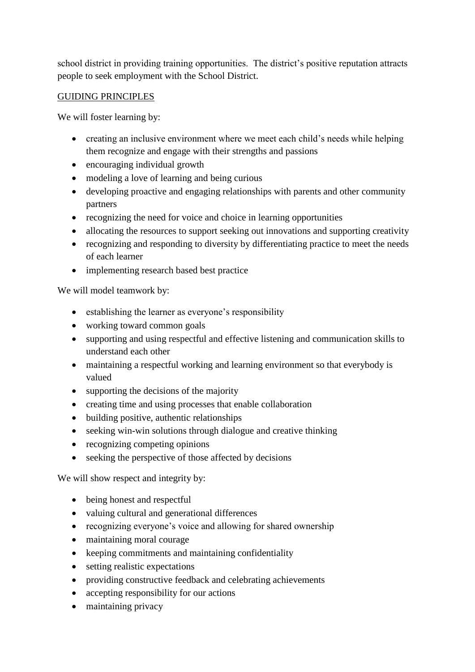school district in providing training opportunities. The district's positive reputation attracts people to seek employment with the School District.

# GUIDING PRINCIPLES

We will foster learning by:

- creating an inclusive environment where we meet each child's needs while helping them recognize and engage with their strengths and passions
- encouraging individual growth
- modeling a love of learning and being curious
- developing proactive and engaging relationships with parents and other community partners
- recognizing the need for voice and choice in learning opportunities
- allocating the resources to support seeking out innovations and supporting creativity
- recognizing and responding to diversity by differentiating practice to meet the needs of each learner
- implementing research based best practice

We will model teamwork by:

- establishing the learner as everyone's responsibility
- working toward common goals
- supporting and using respectful and effective listening and communication skills to understand each other
- maintaining a respectful working and learning environment so that everybody is valued
- supporting the decisions of the majority
- creating time and using processes that enable collaboration
- building positive, authentic relationships
- seeking win-win solutions through dialogue and creative thinking
- recognizing competing opinions
- seeking the perspective of those affected by decisions

We will show respect and integrity by:

- being honest and respectful
- valuing cultural and generational differences
- recognizing everyone's voice and allowing for shared ownership
- maintaining moral courage
- keeping commitments and maintaining confidentiality
- setting realistic expectations
- providing constructive feedback and celebrating achievements
- accepting responsibility for our actions
- maintaining privacy